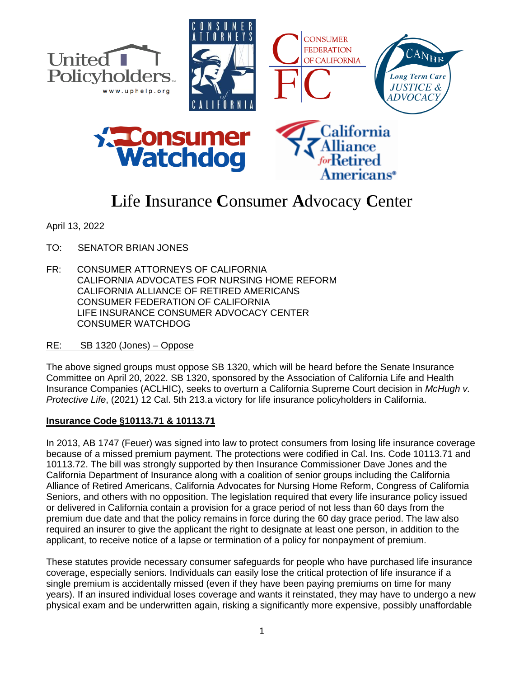

# **L**ife **I**nsurance **C**onsumer **A**dvocacy **C**enter

April 13, 2022

- TO: SENATOR BRIAN JONES
- FR: CONSUMER ATTORNEYS OF CALIFORNIA CALIFORNIA ADVOCATES FOR NURSING HOME REFORM CALIFORNIA ALLIANCE OF RETIRED AMERICANS CONSUMER FEDERATION OF CALIFORNIA LIFE INSURANCE CONSUMER ADVOCACY CENTER CONSUMER WATCHDOG

## RE: SB 1320 (Jones) – Oppose

The above signed groups must oppose SB 1320, which will be heard before the Senate Insurance Committee on April 20, 2022. SB 1320, sponsored by the Association of California Life and Health Insurance Companies (ACLHIC), seeks to overturn a California Supreme Court decision in *McHugh v. Protective Life*, (2021) 12 Cal. 5th 213.a victory for life insurance policyholders in California.

## **Insurance Code §10113.71 & 10113.71**

In 2013, AB 1747 (Feuer) was signed into law to protect consumers from losing life insurance coverage because of a missed premium payment. The protections were codified in Cal. Ins. Code 10113.71 and 10113.72. The bill was strongly supported by then Insurance Commissioner Dave Jones and the California Department of Insurance along with a coalition of senior groups including the California Alliance of Retired Americans, California Advocates for Nursing Home Reform, Congress of California Seniors, and others with no opposition. The legislation required that every life insurance policy issued or delivered in California contain a provision for a grace period of not less than 60 days from the premium due date and that the policy remains in force during the 60 day grace period. The law also required an insurer to give the applicant the right to designate at least one person, in addition to the applicant, to receive notice of a lapse or termination of a policy for nonpayment of premium.

These statutes provide necessary consumer safeguards for people who have purchased life insurance coverage, especially seniors. Individuals can easily lose the critical protection of life insurance if a single premium is accidentally missed (even if they have been paying premiums on time for many years). If an insured individual loses coverage and wants it reinstated, they may have to undergo a new physical exam and be underwritten again, risking a significantly more expensive, possibly unaffordable